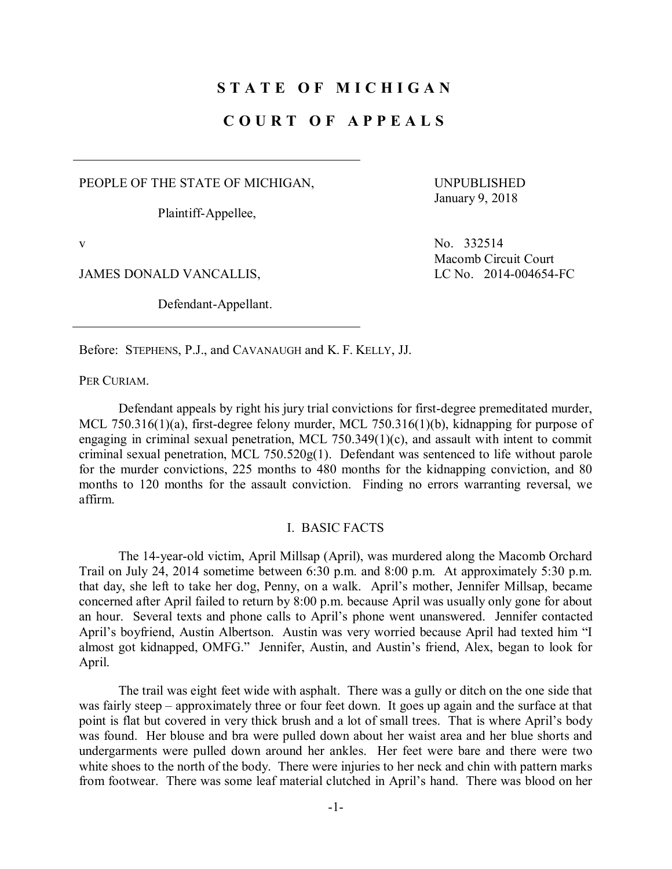## **S T A T E O F M I C H I G A N**

## **C O U R T O F A P P E A L S**

PEOPLE OF THE STATE OF MICHIGAN,

Plaintiff-Appellee,

UNPUBLISHED January 9, 2018

JAMES DONALD VANCALLIS, LC No. 2014-004654-FC

Defendant-Appellant.

v No. 332514 Macomb Circuit Court

Before: STEPHENS, P.J., and CAVANAUGH and K. F. KELLY, JJ.

PER CURIAM.

Defendant appeals by right his jury trial convictions for first-degree premeditated murder, MCL 750.316(1)(a), first-degree felony murder, MCL 750.316(1)(b), kidnapping for purpose of engaging in criminal sexual penetration, MCL 750.349(1)(c), and assault with intent to commit criminal sexual penetration, MCL 750.520g(1). Defendant was sentenced to life without parole for the murder convictions, 225 months to 480 months for the kidnapping conviction, and 80 months to 120 months for the assault conviction. Finding no errors warranting reversal, we affirm.

#### I. BASIC FACTS

The 14-year-old victim, April Millsap (April), was murdered along the Macomb Orchard Trail on July 24, 2014 sometime between 6:30 p.m. and 8:00 p.m. At approximately 5:30 p.m. that day, she left to take her dog, Penny, on a walk. April's mother, Jennifer Millsap, became concerned after April failed to return by 8:00 p.m. because April was usually only gone for about an hour. Several texts and phone calls to April's phone went unanswered. Jennifer contacted April's boyfriend, Austin Albertson. Austin was very worried because April had texted him "I almost got kidnapped, OMFG." Jennifer, Austin, and Austin's friend, Alex, began to look for April.

The trail was eight feet wide with asphalt. There was a gully or ditch on the one side that was fairly steep – approximately three or four feet down. It goes up again and the surface at that point is flat but covered in very thick brush and a lot of small trees. That is where April's body was found. Her blouse and bra were pulled down about her waist area and her blue shorts and undergarments were pulled down around her ankles. Her feet were bare and there were two white shoes to the north of the body. There were injuries to her neck and chin with pattern marks from footwear. There was some leaf material clutched in April's hand. There was blood on her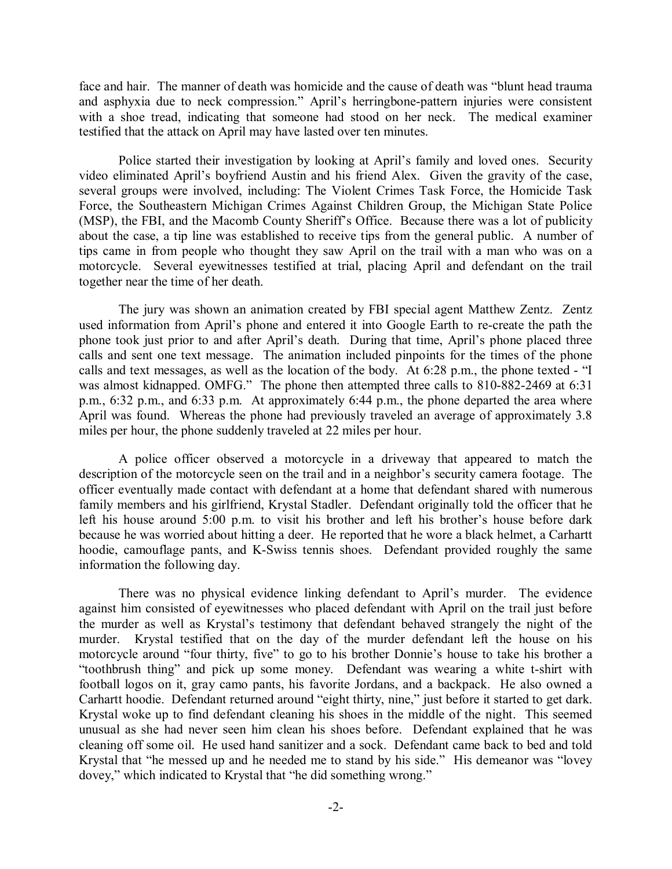face and hair. The manner of death was homicide and the cause of death was "blunt head trauma and asphyxia due to neck compression." April's herringbone-pattern injuries were consistent with a shoe tread, indicating that someone had stood on her neck. The medical examiner testified that the attack on April may have lasted over ten minutes.

Police started their investigation by looking at April's family and loved ones. Security video eliminated April's boyfriend Austin and his friend Alex. Given the gravity of the case, several groups were involved, including: The Violent Crimes Task Force, the Homicide Task Force, the Southeastern Michigan Crimes Against Children Group, the Michigan State Police (MSP), the FBI, and the Macomb County Sheriff's Office. Because there was a lot of publicity about the case, a tip line was established to receive tips from the general public. A number of tips came in from people who thought they saw April on the trail with a man who was on a motorcycle. Several eyewitnesses testified at trial, placing April and defendant on the trail together near the time of her death.

The jury was shown an animation created by FBI special agent Matthew Zentz. Zentz used information from April's phone and entered it into Google Earth to re-create the path the phone took just prior to and after April's death. During that time, April's phone placed three calls and sent one text message. The animation included pinpoints for the times of the phone calls and text messages, as well as the location of the body. At 6:28 p.m., the phone texted - "I was almost kidnapped. OMFG." The phone then attempted three calls to 810-882-2469 at 6:31 p.m., 6:32 p.m., and 6:33 p.m. At approximately 6:44 p.m., the phone departed the area where April was found. Whereas the phone had previously traveled an average of approximately 3.8 miles per hour, the phone suddenly traveled at 22 miles per hour.

A police officer observed a motorcycle in a driveway that appeared to match the description of the motorcycle seen on the trail and in a neighbor's security camera footage. The officer eventually made contact with defendant at a home that defendant shared with numerous family members and his girlfriend, Krystal Stadler. Defendant originally told the officer that he left his house around 5:00 p.m. to visit his brother and left his brother's house before dark because he was worried about hitting a deer. He reported that he wore a black helmet, a Carhartt hoodie, camouflage pants, and K-Swiss tennis shoes. Defendant provided roughly the same information the following day.

There was no physical evidence linking defendant to April's murder. The evidence against him consisted of eyewitnesses who placed defendant with April on the trail just before the murder as well as Krystal's testimony that defendant behaved strangely the night of the murder. Krystal testified that on the day of the murder defendant left the house on his motorcycle around "four thirty, five" to go to his brother Donnie's house to take his brother a "toothbrush thing" and pick up some money. Defendant was wearing a white t-shirt with football logos on it, gray camo pants, his favorite Jordans, and a backpack. He also owned a Carhartt hoodie. Defendant returned around "eight thirty, nine," just before it started to get dark. Krystal woke up to find defendant cleaning his shoes in the middle of the night. This seemed unusual as she had never seen him clean his shoes before. Defendant explained that he was cleaning off some oil. He used hand sanitizer and a sock. Defendant came back to bed and told Krystal that "he messed up and he needed me to stand by his side." His demeanor was "lovey dovey," which indicated to Krystal that "he did something wrong."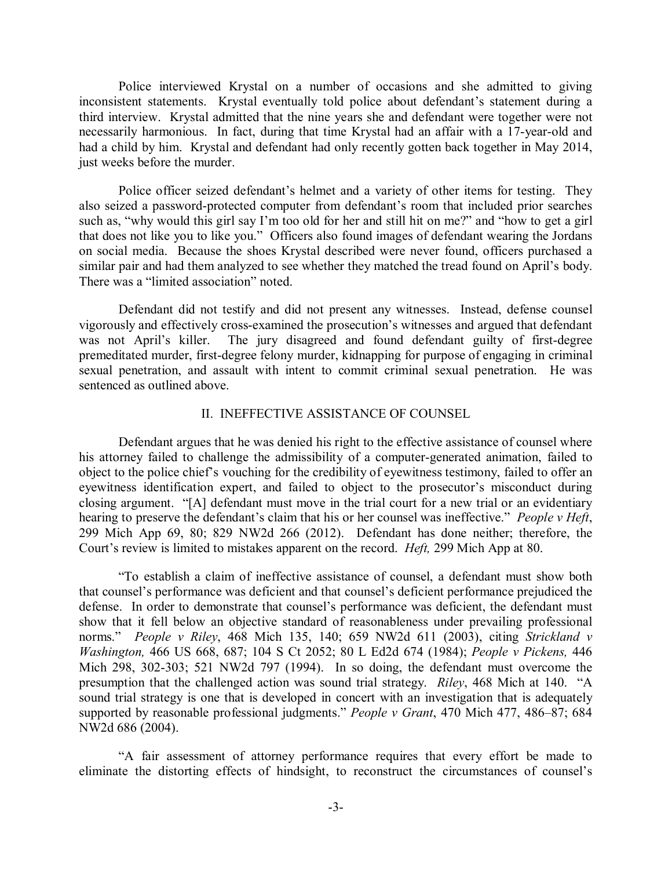Police interviewed Krystal on a number of occasions and she admitted to giving inconsistent statements. Krystal eventually told police about defendant's statement during a third interview. Krystal admitted that the nine years she and defendant were together were not necessarily harmonious. In fact, during that time Krystal had an affair with a 17-year-old and had a child by him. Krystal and defendant had only recently gotten back together in May 2014, just weeks before the murder.

Police officer seized defendant's helmet and a variety of other items for testing. They also seized a password-protected computer from defendant's room that included prior searches such as, "why would this girl say I'm too old for her and still hit on me?" and "how to get a girl that does not like you to like you." Officers also found images of defendant wearing the Jordans on social media. Because the shoes Krystal described were never found, officers purchased a similar pair and had them analyzed to see whether they matched the tread found on April's body. There was a "limited association" noted.

Defendant did not testify and did not present any witnesses. Instead, defense counsel vigorously and effectively cross-examined the prosecution's witnesses and argued that defendant was not April's killer. The jury disagreed and found defendant guilty of first-degree premeditated murder, first-degree felony murder, kidnapping for purpose of engaging in criminal sexual penetration, and assault with intent to commit criminal sexual penetration. He was sentenced as outlined above.

### II. INEFFECTIVE ASSISTANCE OF COUNSEL

Defendant argues that he was denied his right to the effective assistance of counsel where his attorney failed to challenge the admissibility of a computer-generated animation, failed to object to the police chief's vouching for the credibility of eyewitness testimony, failed to offer an eyewitness identification expert, and failed to object to the prosecutor's misconduct during closing argument. "[A] defendant must move in the trial court for a new trial or an evidentiary hearing to preserve the defendant's claim that his or her counsel was ineffective." *People v Heft*, 299 Mich App 69, 80; 829 NW2d 266 (2012). Defendant has done neither; therefore, the Court's review is limited to mistakes apparent on the record. *Heft,* 299 Mich App at 80.

"To establish a claim of ineffective assistance of counsel, a defendant must show both that counsel's performance was deficient and that counsel's deficient performance prejudiced the defense. In order to demonstrate that counsel's performance was deficient, the defendant must show that it fell below an objective standard of reasonableness under prevailing professional norms." *People v Riley*, 468 Mich 135, 140; 659 NW2d 611 (2003), citing *Strickland v Washington,* 466 US 668, 687; 104 S Ct 2052; 80 L Ed2d 674 (1984); *People v Pickens,* 446 Mich 298, 302-303; 521 NW2d 797 (1994). In so doing, the defendant must overcome the presumption that the challenged action was sound trial strategy. *Riley*, 468 Mich at 140. "A sound trial strategy is one that is developed in concert with an investigation that is adequately supported by reasonable professional judgments." *People v Grant*, 470 Mich 477, 486–87; 684 NW2d 686 (2004).

"A fair assessment of attorney performance requires that every effort be made to eliminate the distorting effects of hindsight, to reconstruct the circumstances of counsel's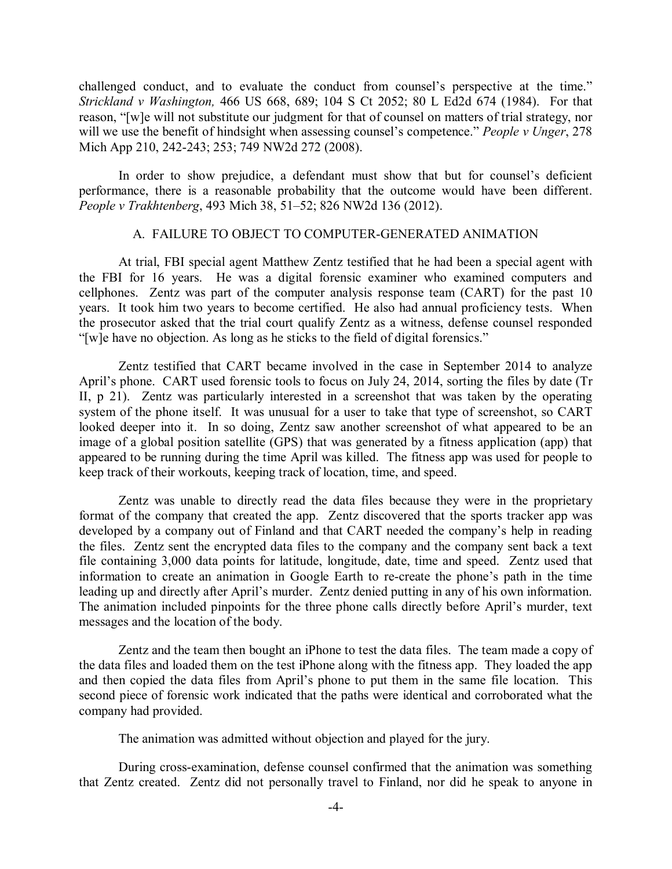challenged conduct, and to evaluate the conduct from counsel's perspective at the time." *Strickland v Washington,* 466 US 668, 689; 104 S Ct 2052; 80 L Ed2d 674 (1984). For that reason, "[w]e will not substitute our judgment for that of counsel on matters of trial strategy, nor will we use the benefit of hindsight when assessing counsel's competence." *People v Unger*, 278 Mich App 210, 242-243; 253; 749 NW2d 272 (2008).

In order to show prejudice, a defendant must show that but for counsel's deficient performance, there is a reasonable probability that the outcome would have been different. *People v Trakhtenberg*, 493 Mich 38, 51–52; 826 NW2d 136 (2012).

#### A. FAILURE TO OBJECT TO COMPUTER-GENERATED ANIMATION

At trial, FBI special agent Matthew Zentz testified that he had been a special agent with the FBI for 16 years. He was a digital forensic examiner who examined computers and cellphones. Zentz was part of the computer analysis response team (CART) for the past 10 years. It took him two years to become certified. He also had annual proficiency tests. When the prosecutor asked that the trial court qualify Zentz as a witness, defense counsel responded "[w]e have no objection. As long as he sticks to the field of digital forensics."

Zentz testified that CART became involved in the case in September 2014 to analyze April's phone. CART used forensic tools to focus on July 24, 2014, sorting the files by date (Tr II, p 21). Zentz was particularly interested in a screenshot that was taken by the operating system of the phone itself. It was unusual for a user to take that type of screenshot, so CART looked deeper into it. In so doing, Zentz saw another screenshot of what appeared to be an image of a global position satellite (GPS) that was generated by a fitness application (app) that appeared to be running during the time April was killed. The fitness app was used for people to keep track of their workouts, keeping track of location, time, and speed.

Zentz was unable to directly read the data files because they were in the proprietary format of the company that created the app. Zentz discovered that the sports tracker app was developed by a company out of Finland and that CART needed the company's help in reading the files. Zentz sent the encrypted data files to the company and the company sent back a text file containing 3,000 data points for latitude, longitude, date, time and speed. Zentz used that information to create an animation in Google Earth to re-create the phone's path in the time leading up and directly after April's murder. Zentz denied putting in any of his own information. The animation included pinpoints for the three phone calls directly before April's murder, text messages and the location of the body.

Zentz and the team then bought an iPhone to test the data files. The team made a copy of the data files and loaded them on the test iPhone along with the fitness app. They loaded the app and then copied the data files from April's phone to put them in the same file location. This second piece of forensic work indicated that the paths were identical and corroborated what the company had provided.

The animation was admitted without objection and played for the jury.

During cross-examination, defense counsel confirmed that the animation was something that Zentz created. Zentz did not personally travel to Finland, nor did he speak to anyone in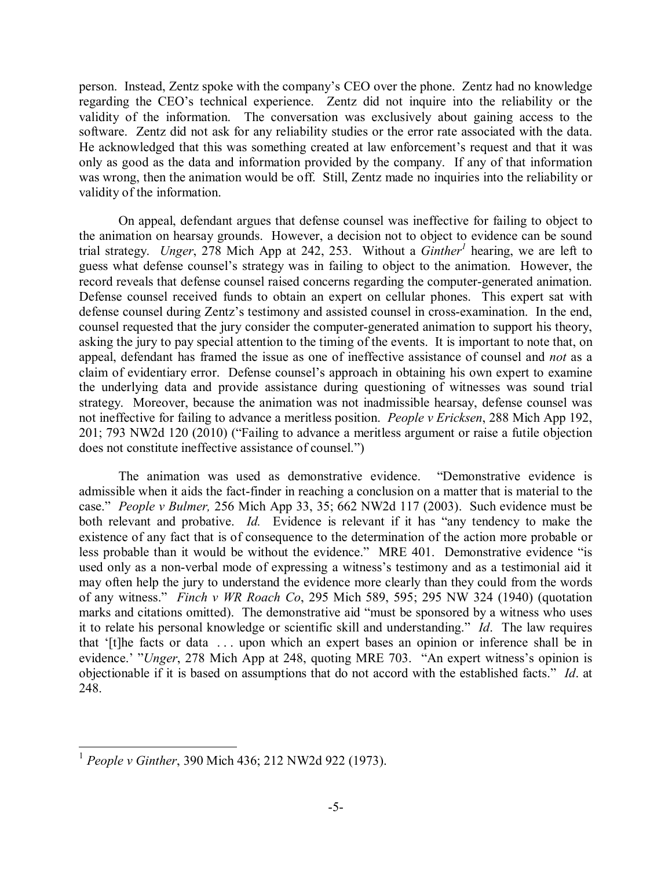person. Instead, Zentz spoke with the company's CEO over the phone. Zentz had no knowledge regarding the CEO's technical experience. Zentz did not inquire into the reliability or the validity of the information. The conversation was exclusively about gaining access to the software. Zentz did not ask for any reliability studies or the error rate associated with the data. He acknowledged that this was something created at law enforcement's request and that it was only as good as the data and information provided by the company. If any of that information was wrong, then the animation would be off. Still, Zentz made no inquiries into the reliability or validity of the information.

On appeal, defendant argues that defense counsel was ineffective for failing to object to the animation on hearsay grounds. However, a decision not to object to evidence can be sound trial strategy. *Unger*, 278 Mich App at 242, 253. Without a *Ginther1* hearing, we are left to guess what defense counsel's strategy was in failing to object to the animation. However, the record reveals that defense counsel raised concerns regarding the computer-generated animation. Defense counsel received funds to obtain an expert on cellular phones. This expert sat with defense counsel during Zentz's testimony and assisted counsel in cross-examination. In the end, counsel requested that the jury consider the computer-generated animation to support his theory, asking the jury to pay special attention to the timing of the events. It is important to note that, on appeal, defendant has framed the issue as one of ineffective assistance of counsel and *not* as a claim of evidentiary error. Defense counsel's approach in obtaining his own expert to examine the underlying data and provide assistance during questioning of witnesses was sound trial strategy. Moreover, because the animation was not inadmissible hearsay, defense counsel was not ineffective for failing to advance a meritless position. *People v Ericksen*, 288 Mich App 192, 201; 793 NW2d 120 (2010) ("Failing to advance a meritless argument or raise a futile objection does not constitute ineffective assistance of counsel.")

The animation was used as demonstrative evidence. "Demonstrative evidence is admissible when it aids the fact-finder in reaching a conclusion on a matter that is material to the case." *People v Bulmer,* 256 Mich App 33, 35; 662 NW2d 117 (2003). Such evidence must be both relevant and probative. *Id.* Evidence is relevant if it has "any tendency to make the existence of any fact that is of consequence to the determination of the action more probable or less probable than it would be without the evidence." MRE 401. Demonstrative evidence "is used only as a non-verbal mode of expressing a witness's testimony and as a testimonial aid it may often help the jury to understand the evidence more clearly than they could from the words of any witness." *Finch v WR Roach Co*, 295 Mich 589, 595; 295 NW 324 (1940) (quotation marks and citations omitted). The demonstrative aid "must be sponsored by a witness who uses it to relate his personal knowledge or scientific skill and understanding." *Id*. The law requires that '[t]he facts or data . . . upon which an expert bases an opinion or inference shall be in evidence.' "*Unger*, 278 Mich App at 248, quoting MRE 703. "An expert witness's opinion is objectionable if it is based on assumptions that do not accord with the established facts." *Id*. at 248.

 <sup>1</sup> *People v Ginther*, 390 Mich 436; 212 NW2d 922 (1973).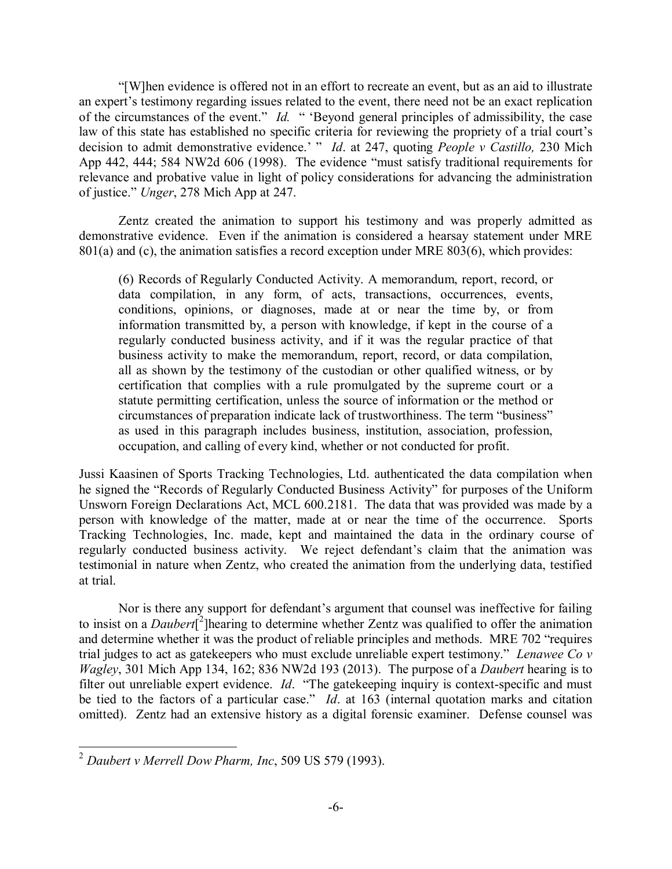"[W]hen evidence is offered not in an effort to recreate an event, but as an aid to illustrate an expert's testimony regarding issues related to the event, there need not be an exact replication of the circumstances of the event." *Id.* " 'Beyond general principles of admissibility, the case law of this state has established no specific criteria for reviewing the propriety of a trial court's decision to admit demonstrative evidence.' " *Id*. at 247, quoting *People v Castillo,* 230 Mich App 442, 444; 584 NW2d 606 (1998). The evidence "must satisfy traditional requirements for relevance and probative value in light of policy considerations for advancing the administration of justice." *Unger*, 278 Mich App at 247.

Zentz created the animation to support his testimony and was properly admitted as demonstrative evidence. Even if the animation is considered a hearsay statement under MRE 801(a) and (c), the animation satisfies a record exception under MRE 803(6), which provides:

(6) Records of Regularly Conducted Activity. A memorandum, report, record, or data compilation, in any form, of acts, transactions, occurrences, events, conditions, opinions, or diagnoses, made at or near the time by, or from information transmitted by, a person with knowledge, if kept in the course of a regularly conducted business activity, and if it was the regular practice of that business activity to make the memorandum, report, record, or data compilation, all as shown by the testimony of the custodian or other qualified witness, or by certification that complies with a rule promulgated by the supreme court or a statute permitting certification, unless the source of information or the method or circumstances of preparation indicate lack of trustworthiness. The term "business" as used in this paragraph includes business, institution, association, profession, occupation, and calling of every kind, whether or not conducted for profit.

Jussi Kaasinen of Sports Tracking Technologies, Ltd. authenticated the data compilation when he signed the "Records of Regularly Conducted Business Activity" for purposes of the Uniform Unsworn Foreign Declarations Act, MCL 600.2181. The data that was provided was made by a person with knowledge of the matter, made at or near the time of the occurrence. Sports Tracking Technologies, Inc. made, kept and maintained the data in the ordinary course of regularly conducted business activity. We reject defendant's claim that the animation was testimonial in nature when Zentz, who created the animation from the underlying data, testified at trial.

Nor is there any support for defendant's argument that counsel was ineffective for failing to insist on a *Daubert*<sup>[2</sup>] hearing to determine whether Zentz was qualified to offer the animation and determine whether it was the product of reliable principles and methods. MRE 702 "requires trial judges to act as gatekeepers who must exclude unreliable expert testimony." *Lenawee Co v Wagley*, 301 Mich App 134, 162; 836 NW2d 193 (2013). The purpose of a *Daubert* hearing is to filter out unreliable expert evidence. *Id*. "The gatekeeping inquiry is context-specific and must be tied to the factors of a particular case." *Id*. at 163 (internal quotation marks and citation omitted). Zentz had an extensive history as a digital forensic examiner. Defense counsel was

 <sup>2</sup> *Daubert v Merrell Dow Pharm, Inc*, 509 US 579 (1993).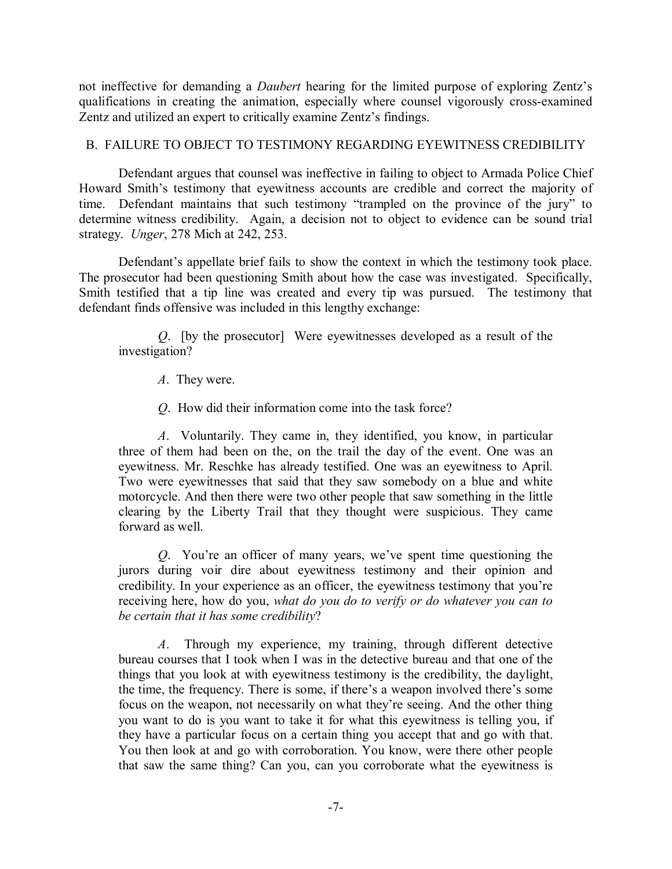not ineffective for demanding a *Daubert* hearing for the limited purpose of exploring Zentz's qualifications in creating the animation, especially where counsel vigorously cross-examined Zentz and utilized an expert to critically examine Zentz's findings.

## B. FAILURE TO OBJECT TO TESTIMONY REGARDING EYEWITNESS CREDIBILITY

Defendant argues that counsel was ineffective in failing to object to Armada Police Chief Howard Smith's testimony that eyewitness accounts are credible and correct the majority of time. Defendant maintains that such testimony "trampled on the province of the jury" to determine witness credibility. Again, a decision not to object to evidence can be sound trial strategy. *Unger*, 278 Mich at 242, 253.

Defendant's appellate brief fails to show the context in which the testimony took place. The prosecutor had been questioning Smith about how the case was investigated. Specifically, Smith testified that a tip line was created and every tip was pursued. The testimony that defendant finds offensive was included in this lengthy exchange:

*Q*. [by the prosecutor] Were eyewitnesses developed as a result of the investigation?

*A*. They were.

*Q*. How did their information come into the task force?

*A*. Voluntarily. They came in, they identified, you know, in particular three of them had been on the, on the trail the day of the event. One was an eyewitness. Mr. Reschke has already testified. One was an eyewitness to April. Two were eyewitnesses that said that they saw somebody on a blue and white motorcycle. And then there were two other people that saw something in the little clearing by the Liberty Trail that they thought were suspicious. They came forward as well.

*Q*. You're an officer of many years, we've spent time questioning the jurors during voir dire about eyewitness testimony and their opinion and credibility. In your experience as an officer, the eyewitness testimony that you're receiving here, how do you, *what do you do to verify or do whatever you can to be certain that it has some credibility*?

*A*. Through my experience, my training, through different detective bureau courses that I took when I was in the detective bureau and that one of the things that you look at with eyewitness testimony is the credibility, the daylight, the time, the frequency. There is some, if there's a weapon involved there's some focus on the weapon, not necessarily on what they're seeing. And the other thing you want to do is you want to take it for what this eyewitness is telling you, if they have a particular focus on a certain thing you accept that and go with that. You then look at and go with corroboration. You know, were there other people that saw the same thing? Can you, can you corroborate what the eyewitness is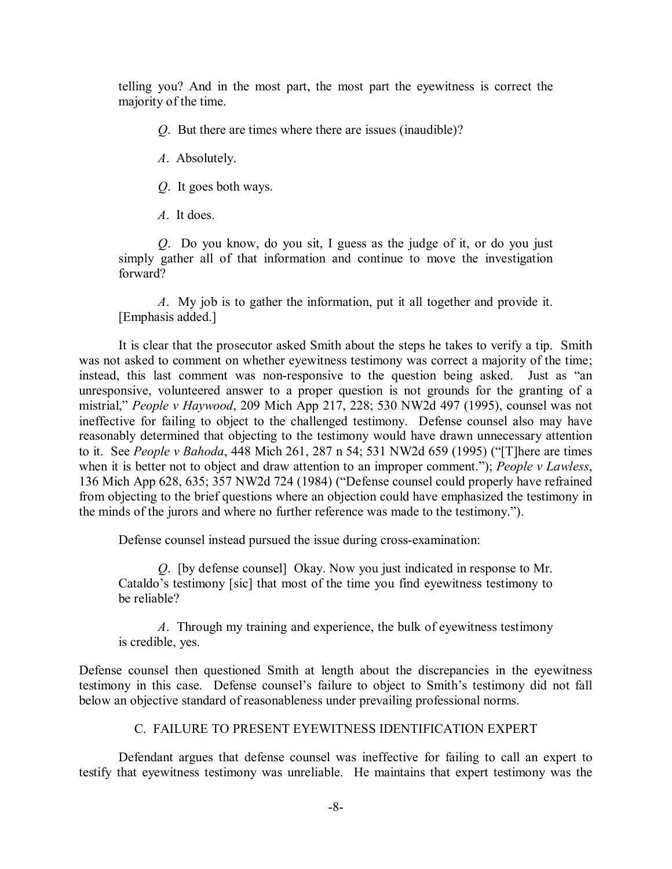telling you? And in the most part, the most part the eyewitness is correct the majority of the time.

*Q*. But there are times where there are issues (inaudible)?

*A*. Absolutely.

*Q*. It goes both ways.

*A*. It does.

*Q*. Do you know, do you sit, I guess as the judge of it, or do you just simply gather all of that information and continue to move the investigation forward?

*A*. My job is to gather the information, put it all together and provide it. [Emphasis added.]

It is clear that the prosecutor asked Smith about the steps he takes to verify a tip. Smith was not asked to comment on whether eyewitness testimony was correct a majority of the time; instead, this last comment was non-responsive to the question being asked. Just as "an unresponsive, volunteered answer to a proper question is not grounds for the granting of a mistrial," *People v Haywood*, 209 Mich App 217, 228; 530 NW2d 497 (1995), counsel was not ineffective for failing to object to the challenged testimony. Defense counsel also may have reasonably determined that objecting to the testimony would have drawn unnecessary attention to it. See *People v Bahoda*, 448 Mich 261, 287 n 54; 531 NW2d 659 (1995) ("[T]here are times when it is better not to object and draw attention to an improper comment."); *People v Lawless*, 136 Mich App 628, 635; 357 NW2d 724 (1984) ("Defense counsel could properly have refrained from objecting to the brief questions where an objection could have emphasized the testimony in the minds of the jurors and where no further reference was made to the testimony.").

Defense counsel instead pursued the issue during cross-examination:

*Q*. [by defense counsel] Okay. Now you just indicated in response to Mr. Cataldo's testimony [sic] that most of the time you find eyewitness testimony to be reliable?

*A*. Through my training and experience, the bulk of eyewitness testimony is credible, yes.

Defense counsel then questioned Smith at length about the discrepancies in the eyewitness testimony in this case. Defense counsel's failure to object to Smith's testimony did not fall below an objective standard of reasonableness under prevailing professional norms.

## C. FAILURE TO PRESENT EYEWITNESS IDENTIFICATION EXPERT

Defendant argues that defense counsel was ineffective for failing to call an expert to testify that eyewitness testimony was unreliable. He maintains that expert testimony was the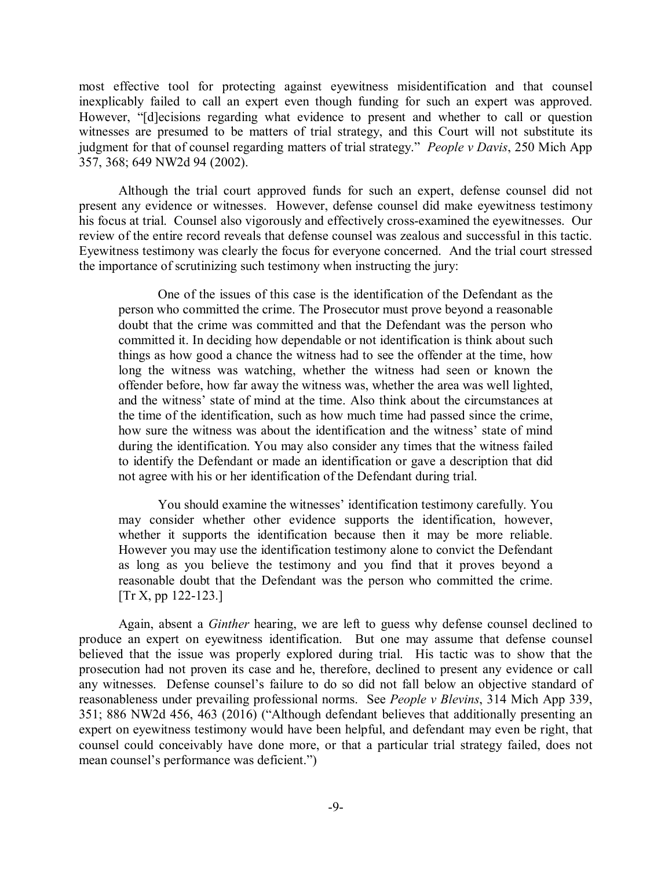most effective tool for protecting against eyewitness misidentification and that counsel inexplicably failed to call an expert even though funding for such an expert was approved. However, "[d]ecisions regarding what evidence to present and whether to call or question witnesses are presumed to be matters of trial strategy, and this Court will not substitute its judgment for that of counsel regarding matters of trial strategy." *People v Davis*, 250 Mich App 357, 368; 649 NW2d 94 (2002).

Although the trial court approved funds for such an expert, defense counsel did not present any evidence or witnesses. However, defense counsel did make eyewitness testimony his focus at trial. Counsel also vigorously and effectively cross-examined the eyewitnesses. Our review of the entire record reveals that defense counsel was zealous and successful in this tactic. Eyewitness testimony was clearly the focus for everyone concerned. And the trial court stressed the importance of scrutinizing such testimony when instructing the jury:

One of the issues of this case is the identification of the Defendant as the person who committed the crime. The Prosecutor must prove beyond a reasonable doubt that the crime was committed and that the Defendant was the person who committed it. In deciding how dependable or not identification is think about such things as how good a chance the witness had to see the offender at the time, how long the witness was watching, whether the witness had seen or known the offender before, how far away the witness was, whether the area was well lighted, and the witness' state of mind at the time. Also think about the circumstances at the time of the identification, such as how much time had passed since the crime, how sure the witness was about the identification and the witness' state of mind during the identification. You may also consider any times that the witness failed to identify the Defendant or made an identification or gave a description that did not agree with his or her identification of the Defendant during trial.

You should examine the witnesses' identification testimony carefully. You may consider whether other evidence supports the identification, however, whether it supports the identification because then it may be more reliable. However you may use the identification testimony alone to convict the Defendant as long as you believe the testimony and you find that it proves beyond a reasonable doubt that the Defendant was the person who committed the crime. [Tr X, pp 122-123.]

Again, absent a *Ginther* hearing, we are left to guess why defense counsel declined to produce an expert on eyewitness identification. But one may assume that defense counsel believed that the issue was properly explored during trial. His tactic was to show that the prosecution had not proven its case and he, therefore, declined to present any evidence or call any witnesses. Defense counsel's failure to do so did not fall below an objective standard of reasonableness under prevailing professional norms. See *People v Blevins*, 314 Mich App 339, 351; 886 NW2d 456, 463 (2016) ("Although defendant believes that additionally presenting an expert on eyewitness testimony would have been helpful, and defendant may even be right, that counsel could conceivably have done more, or that a particular trial strategy failed, does not mean counsel's performance was deficient.")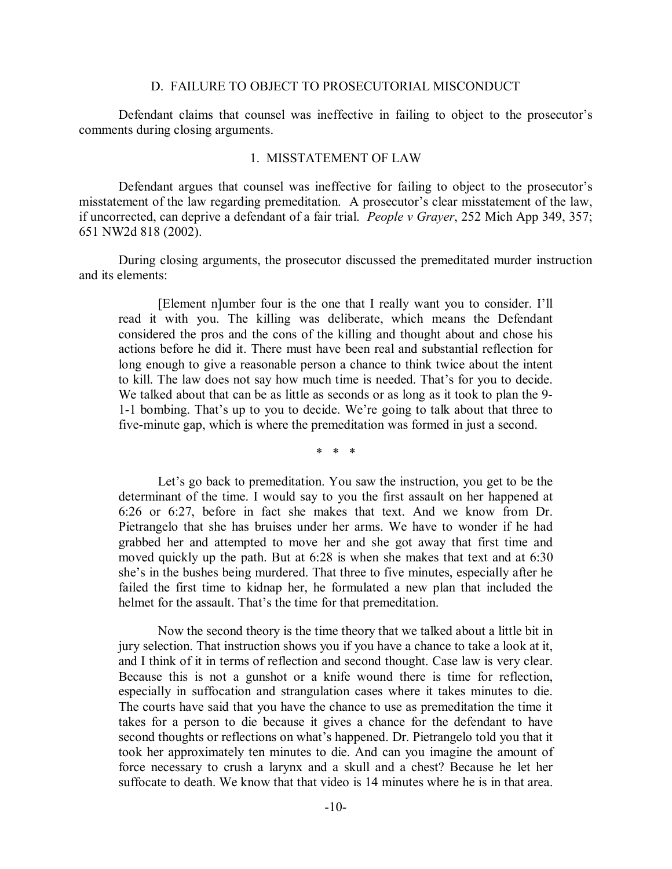#### D. FAILURE TO OBJECT TO PROSECUTORIAL MISCONDUCT

Defendant claims that counsel was ineffective in failing to object to the prosecutor's comments during closing arguments.

#### 1. MISSTATEMENT OF LAW

Defendant argues that counsel was ineffective for failing to object to the prosecutor's misstatement of the law regarding premeditation. A prosecutor's clear misstatement of the law, if uncorrected, can deprive a defendant of a fair trial. *People v Grayer*, 252 Mich App 349, 357; 651 NW2d 818 (2002).

During closing arguments, the prosecutor discussed the premeditated murder instruction and its elements:

[Element n]umber four is the one that I really want you to consider. I'll read it with you. The killing was deliberate, which means the Defendant considered the pros and the cons of the killing and thought about and chose his actions before he did it. There must have been real and substantial reflection for long enough to give a reasonable person a chance to think twice about the intent to kill. The law does not say how much time is needed. That's for you to decide. We talked about that can be as little as seconds or as long as it took to plan the 9- 1-1 bombing. That's up to you to decide. We're going to talk about that three to five-minute gap, which is where the premeditation was formed in just a second.

\* \* \*

Let's go back to premeditation. You saw the instruction, you get to be the determinant of the time. I would say to you the first assault on her happened at 6:26 or 6:27, before in fact she makes that text. And we know from Dr. Pietrangelo that she has bruises under her arms. We have to wonder if he had grabbed her and attempted to move her and she got away that first time and moved quickly up the path. But at 6:28 is when she makes that text and at 6:30 she's in the bushes being murdered. That three to five minutes, especially after he failed the first time to kidnap her, he formulated a new plan that included the helmet for the assault. That's the time for that premeditation.

Now the second theory is the time theory that we talked about a little bit in jury selection. That instruction shows you if you have a chance to take a look at it, and I think of it in terms of reflection and second thought. Case law is very clear. Because this is not a gunshot or a knife wound there is time for reflection, especially in suffocation and strangulation cases where it takes minutes to die. The courts have said that you have the chance to use as premeditation the time it takes for a person to die because it gives a chance for the defendant to have second thoughts or reflections on what's happened. Dr. Pietrangelo told you that it took her approximately ten minutes to die. And can you imagine the amount of force necessary to crush a larynx and a skull and a chest? Because he let her suffocate to death. We know that that video is 14 minutes where he is in that area.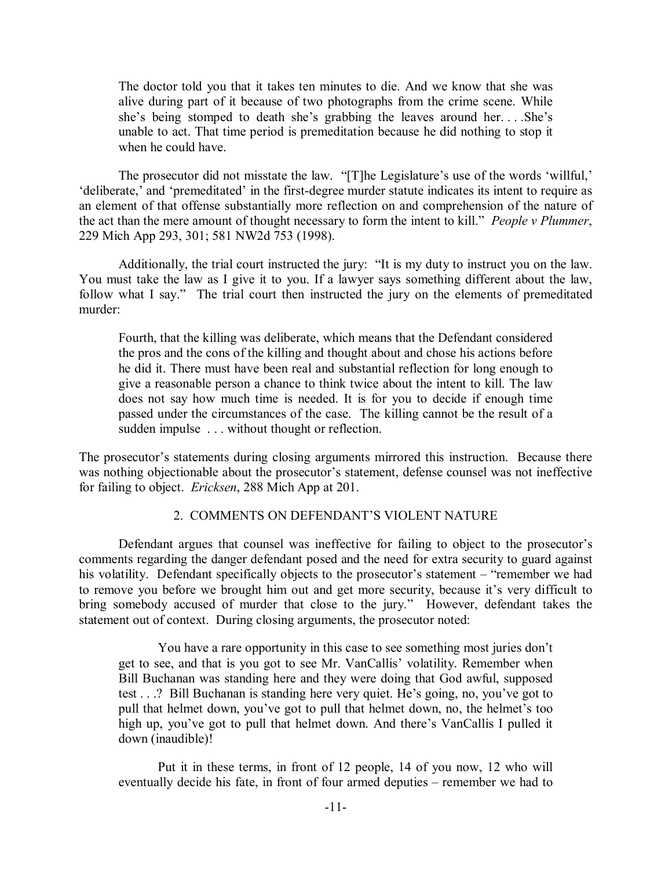The doctor told you that it takes ten minutes to die. And we know that she was alive during part of it because of two photographs from the crime scene. While she's being stomped to death she's grabbing the leaves around her. . . .She's unable to act. That time period is premeditation because he did nothing to stop it when he could have.

The prosecutor did not misstate the law. "[T]he Legislature's use of the words 'willful,' 'deliberate,' and 'premeditated' in the first-degree murder statute indicates its intent to require as an element of that offense substantially more reflection on and comprehension of the nature of the act than the mere amount of thought necessary to form the intent to kill." *People v Plummer*, 229 Mich App 293, 301; 581 NW2d 753 (1998).

Additionally, the trial court instructed the jury: "It is my duty to instruct you on the law. You must take the law as I give it to you. If a lawyer says something different about the law, follow what I say." The trial court then instructed the jury on the elements of premeditated murder:

Fourth, that the killing was deliberate, which means that the Defendant considered the pros and the cons of the killing and thought about and chose his actions before he did it. There must have been real and substantial reflection for long enough to give a reasonable person a chance to think twice about the intent to kill. The law does not say how much time is needed. It is for you to decide if enough time passed under the circumstances of the case. The killing cannot be the result of a sudden impulse . . . without thought or reflection.

The prosecutor's statements during closing arguments mirrored this instruction. Because there was nothing objectionable about the prosecutor's statement, defense counsel was not ineffective for failing to object. *Ericksen*, 288 Mich App at 201.

## 2. COMMENTS ON DEFENDANT'S VIOLENT NATURE

Defendant argues that counsel was ineffective for failing to object to the prosecutor's comments regarding the danger defendant posed and the need for extra security to guard against his volatility. Defendant specifically objects to the prosecutor's statement – "remember we had to remove you before we brought him out and get more security, because it's very difficult to bring somebody accused of murder that close to the jury." However, defendant takes the statement out of context. During closing arguments, the prosecutor noted:

You have a rare opportunity in this case to see something most juries don't get to see, and that is you got to see Mr. VanCallis' volatility. Remember when Bill Buchanan was standing here and they were doing that God awful, supposed test . . .? Bill Buchanan is standing here very quiet. He's going, no, you've got to pull that helmet down, you've got to pull that helmet down, no, the helmet's too high up, you've got to pull that helmet down. And there's VanCallis I pulled it down (inaudible)!

Put it in these terms, in front of 12 people, 14 of you now, 12 who will eventually decide his fate, in front of four armed deputies – remember we had to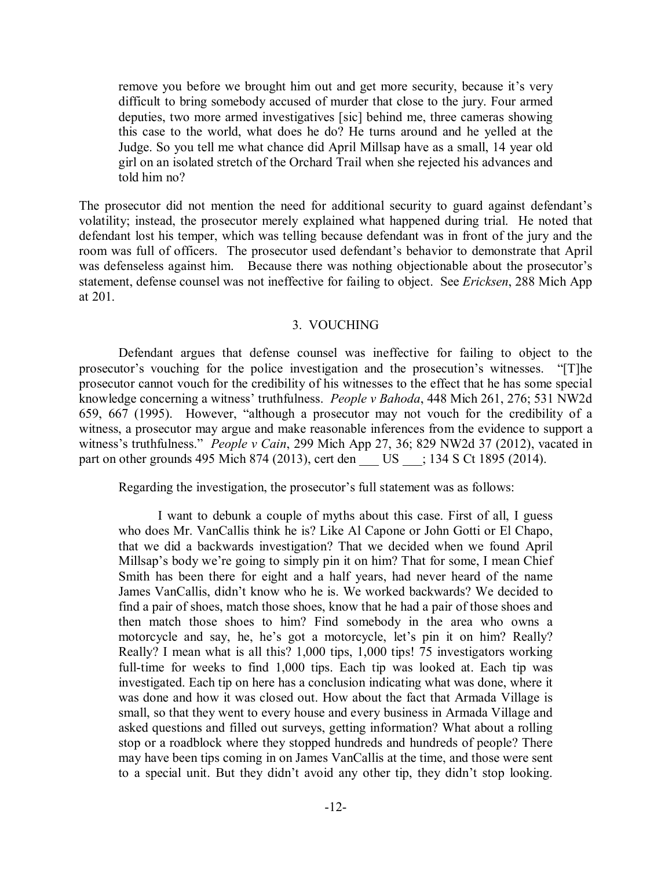remove you before we brought him out and get more security, because it's very difficult to bring somebody accused of murder that close to the jury. Four armed deputies, two more armed investigatives [sic] behind me, three cameras showing this case to the world, what does he do? He turns around and he yelled at the Judge. So you tell me what chance did April Millsap have as a small, 14 year old girl on an isolated stretch of the Orchard Trail when she rejected his advances and told him no?

The prosecutor did not mention the need for additional security to guard against defendant's volatility; instead, the prosecutor merely explained what happened during trial. He noted that defendant lost his temper, which was telling because defendant was in front of the jury and the room was full of officers. The prosecutor used defendant's behavior to demonstrate that April was defenseless against him. Because there was nothing objectionable about the prosecutor's statement, defense counsel was not ineffective for failing to object. See *Ericksen*, 288 Mich App at 201.

## 3. VOUCHING

Defendant argues that defense counsel was ineffective for failing to object to the prosecutor's vouching for the police investigation and the prosecution's witnesses. "[T]he prosecutor cannot vouch for the credibility of his witnesses to the effect that he has some special knowledge concerning a witness' truthfulness. *People v Bahoda*, 448 Mich 261, 276; 531 NW2d 659, 667 (1995). However, "although a prosecutor may not vouch for the credibility of a witness, a prosecutor may argue and make reasonable inferences from the evidence to support a witness's truthfulness." *People v Cain*, 299 Mich App 27, 36; 829 NW2d 37 (2012), vacated in part on other grounds 495 Mich 874 (2013), cert den \_\_ US \_\_\_; 134 S Ct 1895 (2014).

Regarding the investigation, the prosecutor's full statement was as follows:

I want to debunk a couple of myths about this case. First of all, I guess who does Mr. VanCallis think he is? Like Al Capone or John Gotti or El Chapo, that we did a backwards investigation? That we decided when we found April Millsap's body we're going to simply pin it on him? That for some, I mean Chief Smith has been there for eight and a half years, had never heard of the name James VanCallis, didn't know who he is. We worked backwards? We decided to find a pair of shoes, match those shoes, know that he had a pair of those shoes and then match those shoes to him? Find somebody in the area who owns a motorcycle and say, he, he's got a motorcycle, let's pin it on him? Really? Really? I mean what is all this? 1,000 tips, 1,000 tips! 75 investigators working full-time for weeks to find 1,000 tips. Each tip was looked at. Each tip was investigated. Each tip on here has a conclusion indicating what was done, where it was done and how it was closed out. How about the fact that Armada Village is small, so that they went to every house and every business in Armada Village and asked questions and filled out surveys, getting information? What about a rolling stop or a roadblock where they stopped hundreds and hundreds of people? There may have been tips coming in on James VanCallis at the time, and those were sent to a special unit. But they didn't avoid any other tip, they didn't stop looking.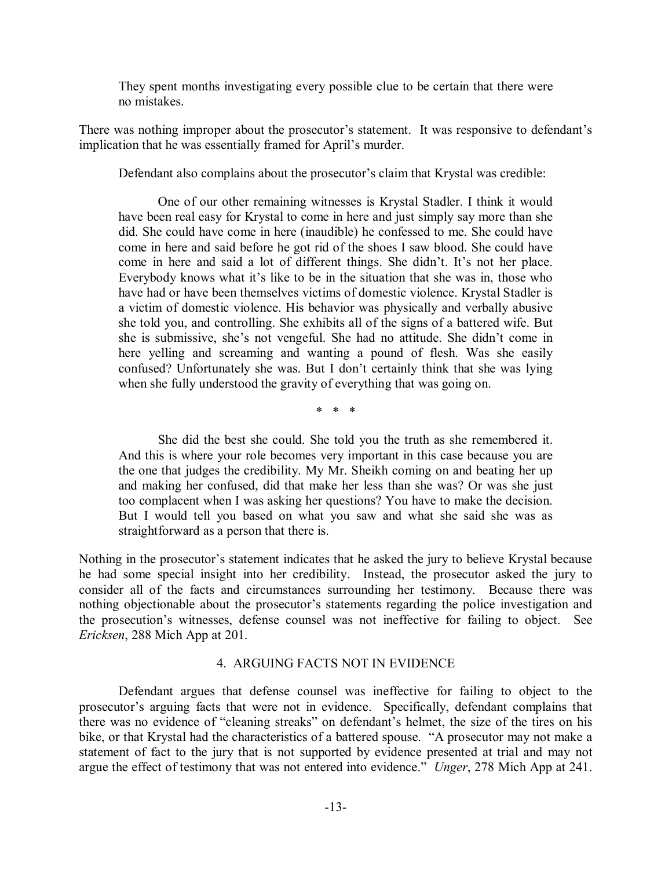They spent months investigating every possible clue to be certain that there were no mistakes.

There was nothing improper about the prosecutor's statement. It was responsive to defendant's implication that he was essentially framed for April's murder.

Defendant also complains about the prosecutor's claim that Krystal was credible:

One of our other remaining witnesses is Krystal Stadler. I think it would have been real easy for Krystal to come in here and just simply say more than she did. She could have come in here (inaudible) he confessed to me. She could have come in here and said before he got rid of the shoes I saw blood. She could have come in here and said a lot of different things. She didn't. It's not her place. Everybody knows what it's like to be in the situation that she was in, those who have had or have been themselves victims of domestic violence. Krystal Stadler is a victim of domestic violence. His behavior was physically and verbally abusive she told you, and controlling. She exhibits all of the signs of a battered wife. But she is submissive, she's not vengeful. She had no attitude. She didn't come in here yelling and screaming and wanting a pound of flesh. Was she easily confused? Unfortunately she was. But I don't certainly think that she was lying when she fully understood the gravity of everything that was going on.

\* \* \*

She did the best she could. She told you the truth as she remembered it. And this is where your role becomes very important in this case because you are the one that judges the credibility. My Mr. Sheikh coming on and beating her up and making her confused, did that make her less than she was? Or was she just too complacent when I was asking her questions? You have to make the decision. But I would tell you based on what you saw and what she said she was as straightforward as a person that there is.

Nothing in the prosecutor's statement indicates that he asked the jury to believe Krystal because he had some special insight into her credibility. Instead, the prosecutor asked the jury to consider all of the facts and circumstances surrounding her testimony. Because there was nothing objectionable about the prosecutor's statements regarding the police investigation and the prosecution's witnesses, defense counsel was not ineffective for failing to object. See *Ericksen*, 288 Mich App at 201.

## 4. ARGUING FACTS NOT IN EVIDENCE

Defendant argues that defense counsel was ineffective for failing to object to the prosecutor's arguing facts that were not in evidence. Specifically, defendant complains that there was no evidence of "cleaning streaks" on defendant's helmet, the size of the tires on his bike, or that Krystal had the characteristics of a battered spouse. "A prosecutor may not make a statement of fact to the jury that is not supported by evidence presented at trial and may not argue the effect of testimony that was not entered into evidence." *Unger*, 278 Mich App at 241.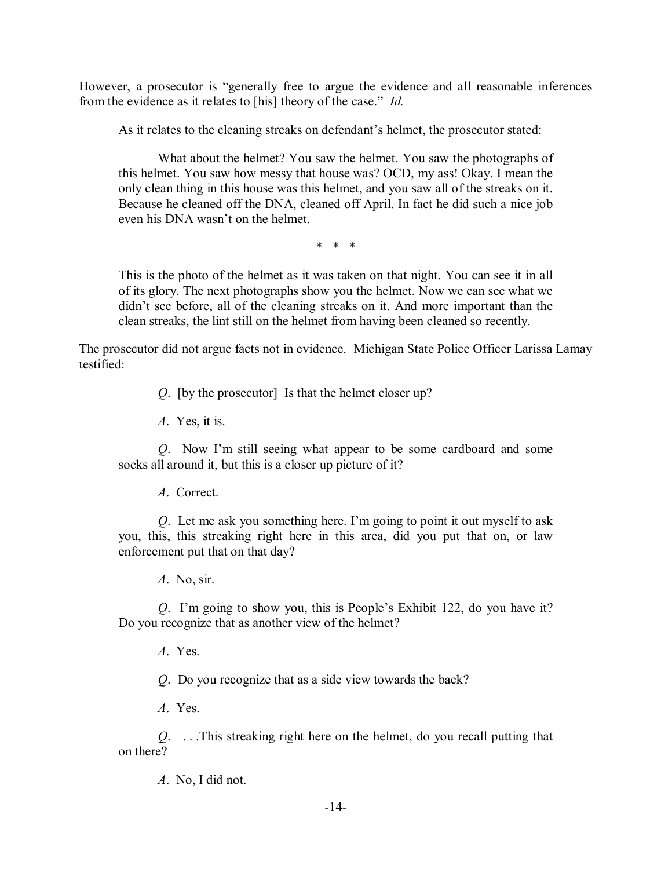However, a prosecutor is "generally free to argue the evidence and all reasonable inferences from the evidence as it relates to [his] theory of the case." *Id.*

As it relates to the cleaning streaks on defendant's helmet, the prosecutor stated:

What about the helmet? You saw the helmet. You saw the photographs of this helmet. You saw how messy that house was? OCD, my ass! Okay. I mean the only clean thing in this house was this helmet, and you saw all of the streaks on it. Because he cleaned off the DNA, cleaned off April. In fact he did such a nice job even his DNA wasn't on the helmet.

\* \* \*

This is the photo of the helmet as it was taken on that night. You can see it in all of its glory. The next photographs show you the helmet. Now we can see what we didn't see before, all of the cleaning streaks on it. And more important than the clean streaks, the lint still on the helmet from having been cleaned so recently.

The prosecutor did not argue facts not in evidence. Michigan State Police Officer Larissa Lamay testified:

*Q*. [by the prosecutor] Is that the helmet closer up?

*A*. Yes, it is.

*Q*. Now I'm still seeing what appear to be some cardboard and some socks all around it, but this is a closer up picture of it?

*A*. Correct.

*Q*. Let me ask you something here. I'm going to point it out myself to ask you, this, this streaking right here in this area, did you put that on, or law enforcement put that on that day?

*A*. No, sir.

*Q*. I'm going to show you, this is People's Exhibit 122, do you have it? Do you recognize that as another view of the helmet?

*A*. Yes.

*Q*. Do you recognize that as a side view towards the back?

*A*. Yes.

*Q*. . . .This streaking right here on the helmet, do you recall putting that on there?

*A*. No, I did not.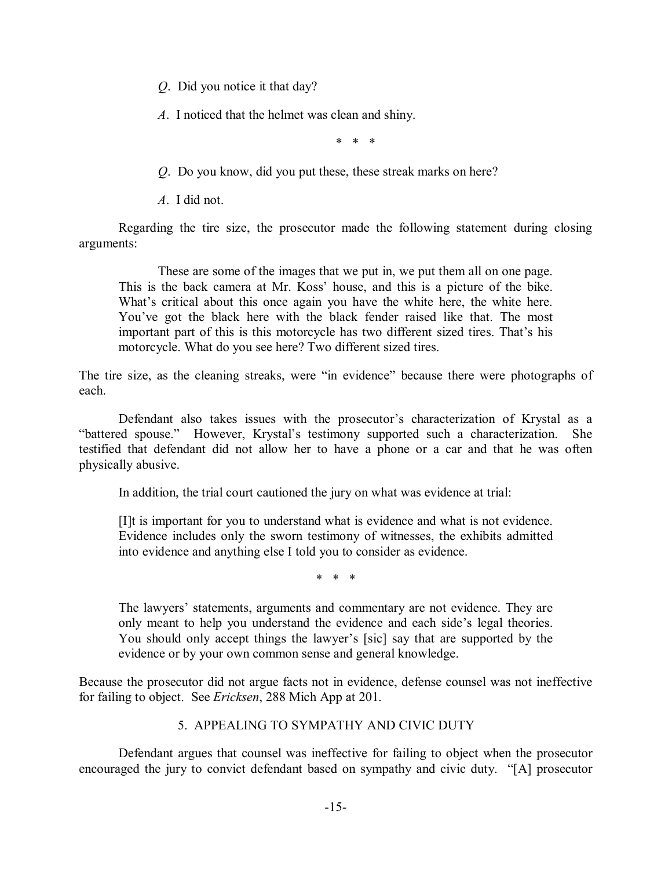*Q*. Did you notice it that day?

*A*. I noticed that the helmet was clean and shiny.

\* \* \*

*Q*. Do you know, did you put these, these streak marks on here?

*A*. I did not.

Regarding the tire size, the prosecutor made the following statement during closing arguments:

These are some of the images that we put in, we put them all on one page. This is the back camera at Mr. Koss' house, and this is a picture of the bike. What's critical about this once again you have the white here, the white here. You've got the black here with the black fender raised like that. The most important part of this is this motorcycle has two different sized tires. That's his motorcycle. What do you see here? Two different sized tires.

The tire size, as the cleaning streaks, were "in evidence" because there were photographs of each.

Defendant also takes issues with the prosecutor's characterization of Krystal as a "battered spouse." However, Krystal's testimony supported such a characterization. She testified that defendant did not allow her to have a phone or a car and that he was often physically abusive.

In addition, the trial court cautioned the jury on what was evidence at trial:

[I]t is important for you to understand what is evidence and what is not evidence. Evidence includes only the sworn testimony of witnesses, the exhibits admitted into evidence and anything else I told you to consider as evidence.

\* \* \*

The lawyers' statements, arguments and commentary are not evidence. They are only meant to help you understand the evidence and each side's legal theories. You should only accept things the lawyer's [sic] say that are supported by the evidence or by your own common sense and general knowledge.

Because the prosecutor did not argue facts not in evidence, defense counsel was not ineffective for failing to object. See *Ericksen*, 288 Mich App at 201.

## 5. APPEALING TO SYMPATHY AND CIVIC DUTY

Defendant argues that counsel was ineffective for failing to object when the prosecutor encouraged the jury to convict defendant based on sympathy and civic duty. "[A] prosecutor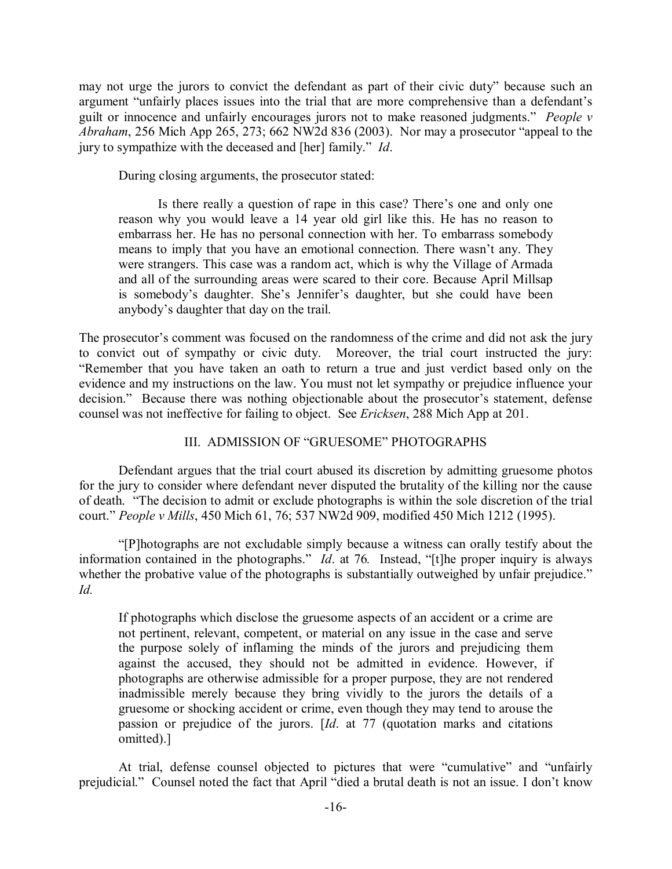may not urge the jurors to convict the defendant as part of their civic duty" because such an argument "unfairly places issues into the trial that are more comprehensive than a defendant's guilt or innocence and unfairly encourages jurors not to make reasoned judgments." *People v Abraham*, 256 Mich App 265, 273; 662 NW2d 836 (2003). Nor may a prosecutor "appeal to the jury to sympathize with the deceased and [her] family." *Id*.

During closing arguments, the prosecutor stated:

Is there really a question of rape in this case? There's one and only one reason why you would leave a 14 year old girl like this. He has no reason to embarrass her. He has no personal connection with her. To embarrass somebody means to imply that you have an emotional connection. There wasn't any. They were strangers. This case was a random act, which is why the Village of Armada and all of the surrounding areas were scared to their core. Because April Millsap is somebody's daughter. She's Jennifer's daughter, but she could have been anybody's daughter that day on the trail.

The prosecutor's comment was focused on the randomness of the crime and did not ask the jury to convict out of sympathy or civic duty. Moreover, the trial court instructed the jury: "Remember that you have taken an oath to return a true and just verdict based only on the evidence and my instructions on the law. You must not let sympathy or prejudice influence your decision." Because there was nothing objectionable about the prosecutor's statement, defense counsel was not ineffective for failing to object. See *Ericksen*, 288 Mich App at 201.

# III. ADMISSION OF "GRUESOME" PHOTOGRAPHS

Defendant argues that the trial court abused its discretion by admitting gruesome photos for the jury to consider where defendant never disputed the brutality of the killing nor the cause of death. "The decision to admit or exclude photographs is within the sole discretion of the trial court." *People v Mills*, 450 Mich 61, 76; 537 NW2d 909, modified 450 Mich 1212 (1995).

"[P]hotographs are not excludable simply because a witness can orally testify about the information contained in the photographs." *Id*. at 76*.* Instead, "[t]he proper inquiry is always whether the probative value of the photographs is substantially outweighed by unfair prejudice." *Id.* 

If photographs which disclose the gruesome aspects of an accident or a crime are not pertinent, relevant, competent, or material on any issue in the case and serve the purpose solely of inflaming the minds of the jurors and prejudicing them against the accused, they should not be admitted in evidence. However, if photographs are otherwise admissible for a proper purpose, they are not rendered inadmissible merely because they bring vividly to the jurors the details of a gruesome or shocking accident or crime, even though they may tend to arouse the passion or prejudice of the jurors. [*Id*. at 77 (quotation marks and citations omitted).]

At trial, defense counsel objected to pictures that were "cumulative" and "unfairly prejudicial." Counsel noted the fact that April "died a brutal death is not an issue. I don't know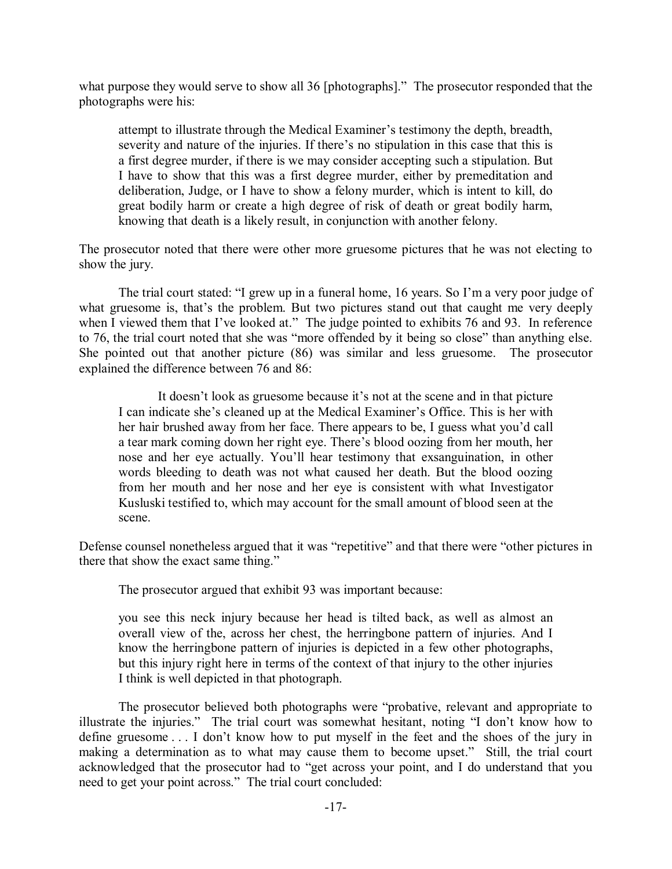what purpose they would serve to show all 36 [photographs]." The prosecutor responded that the photographs were his:

attempt to illustrate through the Medical Examiner's testimony the depth, breadth, severity and nature of the injuries. If there's no stipulation in this case that this is a first degree murder, if there is we may consider accepting such a stipulation. But I have to show that this was a first degree murder, either by premeditation and deliberation, Judge, or I have to show a felony murder, which is intent to kill, do great bodily harm or create a high degree of risk of death or great bodily harm, knowing that death is a likely result, in conjunction with another felony.

The prosecutor noted that there were other more gruesome pictures that he was not electing to show the jury.

The trial court stated: "I grew up in a funeral home, 16 years. So I'm a very poor judge of what gruesome is, that's the problem. But two pictures stand out that caught me very deeply when I viewed them that I've looked at." The judge pointed to exhibits 76 and 93. In reference to 76, the trial court noted that she was "more offended by it being so close" than anything else. She pointed out that another picture (86) was similar and less gruesome. The prosecutor explained the difference between 76 and 86:

It doesn't look as gruesome because it's not at the scene and in that picture I can indicate she's cleaned up at the Medical Examiner's Office. This is her with her hair brushed away from her face. There appears to be, I guess what you'd call a tear mark coming down her right eye. There's blood oozing from her mouth, her nose and her eye actually. You'll hear testimony that exsanguination, in other words bleeding to death was not what caused her death. But the blood oozing from her mouth and her nose and her eye is consistent with what Investigator Kusluski testified to, which may account for the small amount of blood seen at the scene.

Defense counsel nonetheless argued that it was "repetitive" and that there were "other pictures in there that show the exact same thing."

The prosecutor argued that exhibit 93 was important because:

you see this neck injury because her head is tilted back, as well as almost an overall view of the, across her chest, the herringbone pattern of injuries. And I know the herringbone pattern of injuries is depicted in a few other photographs, but this injury right here in terms of the context of that injury to the other injuries I think is well depicted in that photograph.

The prosecutor believed both photographs were "probative, relevant and appropriate to illustrate the injuries." The trial court was somewhat hesitant, noting "I don't know how to define gruesome . . . I don't know how to put myself in the feet and the shoes of the jury in making a determination as to what may cause them to become upset." Still, the trial court acknowledged that the prosecutor had to "get across your point, and I do understand that you need to get your point across." The trial court concluded: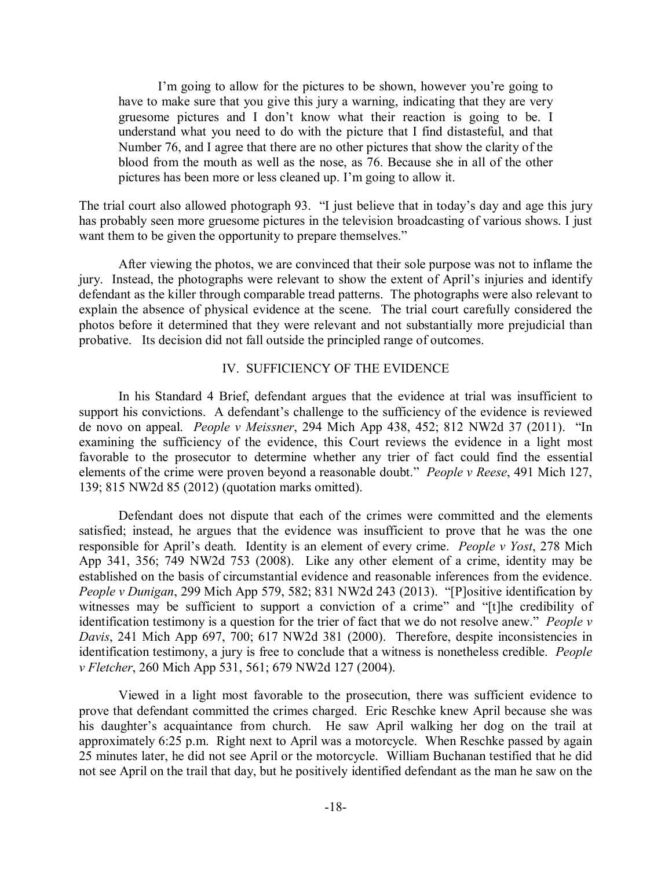I'm going to allow for the pictures to be shown, however you're going to have to make sure that you give this jury a warning, indicating that they are very gruesome pictures and I don't know what their reaction is going to be. I understand what you need to do with the picture that I find distasteful, and that Number 76, and I agree that there are no other pictures that show the clarity of the blood from the mouth as well as the nose, as 76. Because she in all of the other pictures has been more or less cleaned up. I'm going to allow it.

The trial court also allowed photograph 93. "I just believe that in today's day and age this jury has probably seen more gruesome pictures in the television broadcasting of various shows. I just want them to be given the opportunity to prepare themselves."

After viewing the photos, we are convinced that their sole purpose was not to inflame the jury. Instead, the photographs were relevant to show the extent of April's injuries and identify defendant as the killer through comparable tread patterns. The photographs were also relevant to explain the absence of physical evidence at the scene. The trial court carefully considered the photos before it determined that they were relevant and not substantially more prejudicial than probative. Its decision did not fall outside the principled range of outcomes.

## IV. SUFFICIENCY OF THE EVIDENCE

In his Standard 4 Brief, defendant argues that the evidence at trial was insufficient to support his convictions. A defendant's challenge to the sufficiency of the evidence is reviewed de novo on appeal. *People v Meissner*, 294 Mich App 438, 452; 812 NW2d 37 (2011). "In examining the sufficiency of the evidence, this Court reviews the evidence in a light most favorable to the prosecutor to determine whether any trier of fact could find the essential elements of the crime were proven beyond a reasonable doubt." *People v Reese*, 491 Mich 127, 139; 815 NW2d 85 (2012) (quotation marks omitted).

Defendant does not dispute that each of the crimes were committed and the elements satisfied; instead, he argues that the evidence was insufficient to prove that he was the one responsible for April's death. Identity is an element of every crime. *People v Yost*, 278 Mich App 341, 356; 749 NW2d 753 (2008). Like any other element of a crime, identity may be established on the basis of circumstantial evidence and reasonable inferences from the evidence. *People v Dunigan*, 299 Mich App 579, 582; 831 NW2d 243 (2013). "[P]ositive identification by witnesses may be sufficient to support a conviction of a crime" and "[t]he credibility of identification testimony is a question for the trier of fact that we do not resolve anew." *People v Davis*, 241 Mich App 697, 700; 617 NW2d 381 (2000). Therefore, despite inconsistencies in identification testimony, a jury is free to conclude that a witness is nonetheless credible. *People v Fletcher*, 260 Mich App 531, 561; 679 NW2d 127 (2004).

Viewed in a light most favorable to the prosecution, there was sufficient evidence to prove that defendant committed the crimes charged. Eric Reschke knew April because she was his daughter's acquaintance from church. He saw April walking her dog on the trail at approximately 6:25 p.m. Right next to April was a motorcycle. When Reschke passed by again 25 minutes later, he did not see April or the motorcycle. William Buchanan testified that he did not see April on the trail that day, but he positively identified defendant as the man he saw on the